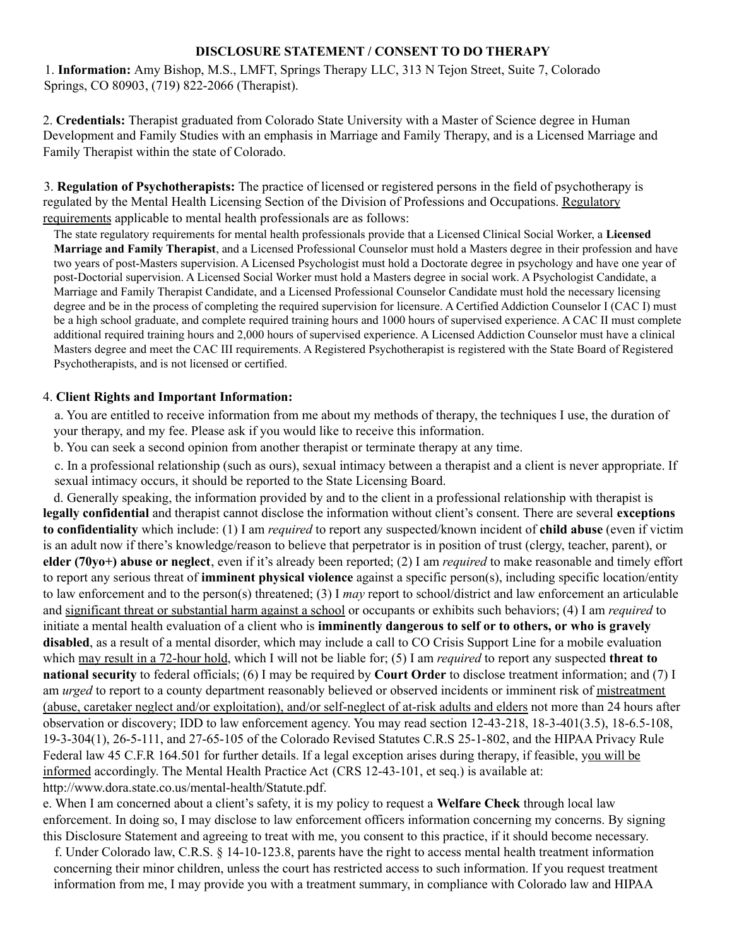#### **DISCLOSURE STATEMENT / CONSENT TO DO THERAPY**

1. **Information:** Amy Bishop, M.S., LMFT, Springs Therapy LLC, 313 N Tejon Street, Suite 7, Colorado Springs, CO 80903, (719) 822-2066 (Therapist).

2. **Credentials:** Therapist graduated from Colorado State University with a Master of Science degree in Human Development and Family Studies with an emphasis in Marriage and Family Therapy, and is a Licensed Marriage and Family Therapist within the state of Colorado.

3. **Regulation of Psychotherapists:** The practice of licensed or registered persons in the field of psychotherapy is regulated by the Mental Health Licensing Section of the Division of Professions and Occupations. Regulatory requirements applicable to mental health professionals are as follows:

The state regulatory requirements for mental health professionals provide that a Licensed Clinical Social Worker, a **Licensed Marriage and Family Therapist**, and a Licensed Professional Counselor must hold a Masters degree in their profession and have two years of post-Masters supervision. A Licensed Psychologist must hold a Doctorate degree in psychology and have one year of post-Doctorial supervision. A Licensed Social Worker must hold a Masters degree in social work. A Psychologist Candidate, a Marriage and Family Therapist Candidate, and a Licensed Professional Counselor Candidate must hold the necessary licensing degree and be in the process of completing the required supervision for licensure. A Certified Addiction Counselor I (CAC I) must be a high school graduate, and complete required training hours and 1000 hours of supervised experience. A CAC II must complete additional required training hours and 2,000 hours of supervised experience. A Licensed Addiction Counselor must have a clinical Masters degree and meet the CAC III requirements. A Registered Psychotherapist is registered with the State Board of Registered Psychotherapists, and is not licensed or certified.

#### 4. **Client Rights and Important Information:**

a. You are entitled to receive information from me about my methods of therapy, the techniques I use, the duration of your therapy, and my fee. Please ask if you would like to receive this information.

b. You can seek a second opinion from another therapist or terminate therapy at any time.

c. In a professional relationship (such as ours), sexual intimacy between a therapist and a client is never appropriate. If sexual intimacy occurs, it should be reported to the State Licensing Board.

d. Generally speaking, the information provided by and to the client in a professional relationship with therapist is **legally confidential** and therapist cannot disclose the information without client's consent. There are several **exceptions to confidentiality** which include: (1) I am *required* to report any suspected/known incident of **child abuse** (even if victim is an adult now if there's knowledge/reason to believe that perpetrator is in position of trust (clergy, teacher, parent), or **elder (70yo+) abuse or neglect**, even if it's already been reported; (2) I am *required* to make reasonable and timely effort to report any serious threat of **imminent physical violence** against a specific person(s), including specific location/entity to law enforcement and to the person(s) threatened; (3) I *may* report to school/district and law enforcement an articulable and significant threat or substantial harm against a school or occupants or exhibits such behaviors; (4) I am *required* to initiate a mental health evaluation of a client who is **imminently dangerous to self or to others, or who is gravely disabled**, as a result of a mental disorder, which may include a call to CO Crisis Support Line for a mobile evaluation which may result in a 72-hour hold, which I will not be liable for; (5) I am *required* to report any suspected **threat to national security** to federal officials; (6) I may be required by **Court Order** to disclose treatment information; and (7) I am *urged* to report to a county department reasonably believed or observed incidents or imminent risk of mistreatment (abuse, caretaker neglect and/or exploitation), and/or self-neglect of at-risk adults and elders not more than 24 hours after observation or discovery; IDD to law enforcement agency. You may read section 12-43-218, 18-3-401(3.5), 18-6.5-108, 19-3-304(1), 26-5-111, and 27-65-105 of the Colorado Revised Statutes C.R.S 25-1-802, and the HIPAA Privacy Rule Federal law 45 C.F.R 164.501 for further details. If a legal exception arises during therapy, if feasible, you will be informed accordingly. The Mental Health Practice Act (CRS 12-43-101, et seq.) is available at: http://www.dora.state.co.us/mental-health/Statute.pdf.

e. When I am concerned about a client's safety, it is my policy to request a **Welfare Check** through local law enforcement. In doing so, I may disclose to law enforcement officers information concerning my concerns. By signing this Disclosure Statement and agreeing to treat with me, you consent to this practice, if it should become necessary.

f. Under Colorado law, C.R.S. § 14-10-123.8, parents have the right to access mental health treatment information concerning their minor children, unless the court has restricted access to such information. If you request treatment information from me, I may provide you with a treatment summary, in compliance with Colorado law and HIPAA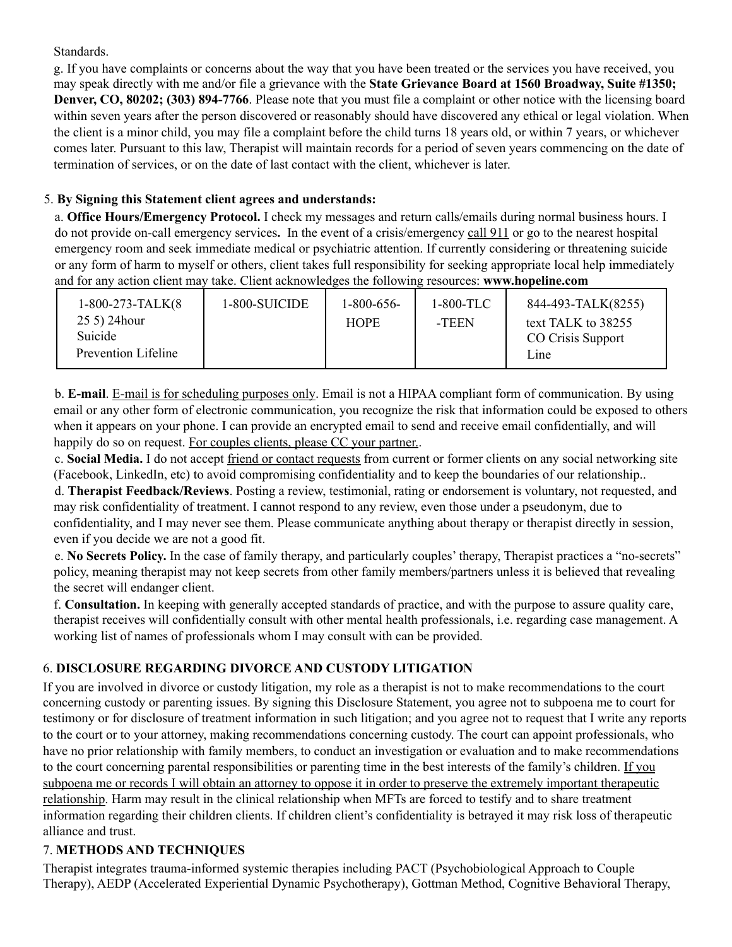### Standards.

g. If you have complaints or concerns about the way that you have been treated or the services you have received, you may speak directly with me and/or file a grievance with the **State Grievance Board at 1560 Broadway, Suite #1350; Denver, CO, 80202; (303) 894-7766**. Please note that you must file a complaint or other notice with the licensing board within seven years after the person discovered or reasonably should have discovered any ethical or legal violation. When the client is a minor child, you may file a complaint before the child turns 18 years old, or within 7 years, or whichever comes later. Pursuant to this law, Therapist will maintain records for a period of seven years commencing on the date of termination of services, or on the date of last contact with the client, whichever is later.

## 5. **By Signing this Statement client agrees and understands:**

a. **Office Hours/Emergency Protocol.** I check my messages and return calls/emails during normal business hours. I do not provide on-call emergency services**.** In the event of a crisis/emergency call 911 or go to the nearest hospital emergency room and seek immediate medical or psychiatric attention. If currently considering or threatening suicide or any form of harm to myself or others, client takes full responsibility for seeking appropriate local help immediately and for any action client may take. Client acknowledges the following resources: **www.hopeline.com**

| $1-800-273-TALK(8)$ | 1-800-SUICIDE | $1 - 800 - 656$ | $1-800-TLC$ | 844-493-TALK(8255) |
|---------------------|---------------|-----------------|-------------|--------------------|
| 25 5) 24 hour       |               | <b>HOPE</b>     | -TEEN       | text TALK to 38255 |
| Suicide             |               |                 |             | CO Crisis Support  |
| Prevention Lifeline |               |                 |             | L <sub>1</sub> ne  |

b. **E-mail**. E-mail is for scheduling purposes only. Email is not a HIPAA compliant form of communication. By using email or any other form of electronic communication, you recognize the risk that information could be exposed to others when it appears on your phone. I can provide an encrypted email to send and receive email confidentially, and will happily do so on request. For couples clients, please CC your partner.

c. **Social Media.** I do not accept friend or contact requests from current or former clients on any social networking site (Facebook, LinkedIn, etc) to avoid compromising confidentiality and to keep the boundaries of our relationship..

d. **Therapist Feedback/Reviews**. Posting a review, testimonial, rating or endorsement is voluntary, not requested, and may risk confidentiality of treatment. I cannot respond to any review, even those under a pseudonym, due to confidentiality, and I may never see them. Please communicate anything about therapy or therapist directly in session, even if you decide we are not a good fit.

e. **No Secrets Policy.** In the case of family therapy, and particularly couples' therapy, Therapist practices a "no-secrets" policy, meaning therapist may not keep secrets from other family members/partners unless it is believed that revealing the secret will endanger client.

f. **Consultation.** In keeping with generally accepted standards of practice, and with the purpose to assure quality care, therapist receives will confidentially consult with other mental health professionals, i.e. regarding case management. A working list of names of professionals whom I may consult with can be provided.

# 6. **DISCLOSURE REGARDING DIVORCE AND CUSTODY LITIGATION**

If you are involved in divorce or custody litigation, my role as a therapist is not to make recommendations to the court concerning custody or parenting issues. By signing this Disclosure Statement, you agree not to subpoena me to court for testimony or for disclosure of treatment information in such litigation; and you agree not to request that I write any reports to the court or to your attorney, making recommendations concerning custody. The court can appoint professionals, who have no prior relationship with family members, to conduct an investigation or evaluation and to make recommendations to the court concerning parental responsibilities or parenting time in the best interests of the family's children. If you subpoena me or records I will obtain an attorney to oppose it in order to preserve the extremely important therapeutic relationship. Harm may result in the clinical relationship when MFTs are forced to testify and to share treatment information regarding their children clients. If children client's confidentiality is betrayed it may risk loss of therapeutic alliance and trust.

## 7. **METHODS AND TECHNIQUES**

Therapist integrates trauma-informed systemic therapies including PACT (Psychobiological Approach to Couple Therapy), AEDP (Accelerated Experiential Dynamic Psychotherapy), Gottman Method, Cognitive Behavioral Therapy,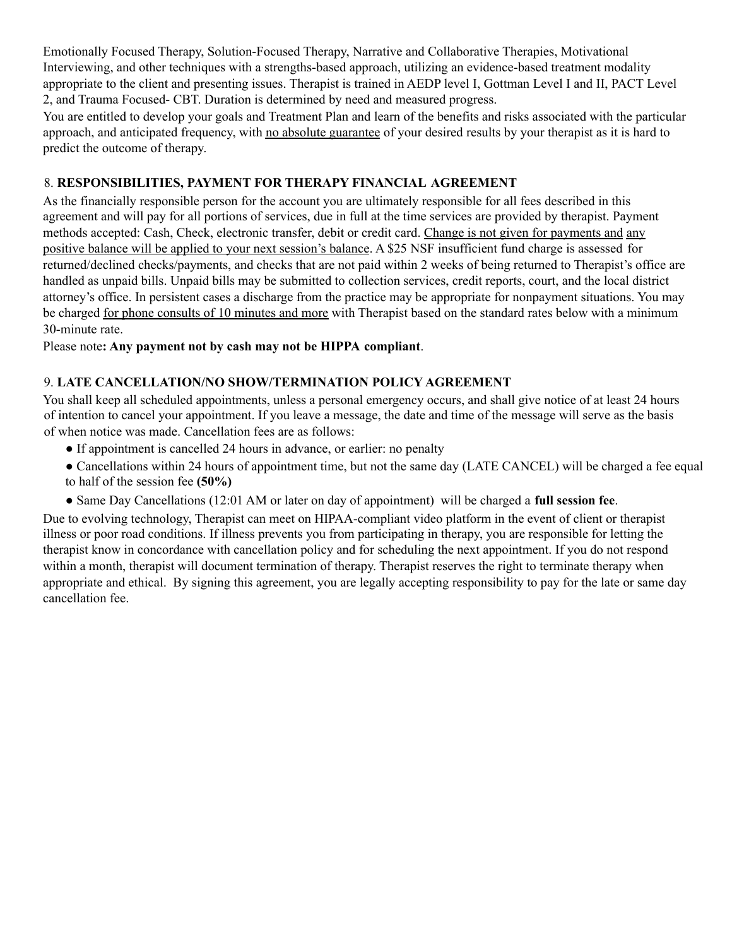Emotionally Focused Therapy, Solution-Focused Therapy, Narrative and Collaborative Therapies, Motivational Interviewing, and other techniques with a strengths-based approach, utilizing an evidence-based treatment modality appropriate to the client and presenting issues. Therapist is trained in AEDP level I, Gottman Level I and II, PACT Level 2, and Trauma Focused- CBT. Duration is determined by need and measured progress.

You are entitled to develop your goals and Treatment Plan and learn of the benefits and risks associated with the particular approach, and anticipated frequency, with no absolute guarantee of your desired results by your therapist as it is hard to predict the outcome of therapy.

### 8. **RESPONSIBILITIES, PAYMENT FOR THERAPY FINANCIAL AGREEMENT**

As the financially responsible person for the account you are ultimately responsible for all fees described in this agreement and will pay for all portions of services, due in full at the time services are provided by therapist. Payment methods accepted: Cash, Check, electronic transfer, debit or credit card. Change is not given for payments and any positive balance will be applied to your next session's balance. A \$25 NSF insufficient fund charge is assessed for returned/declined checks/payments, and checks that are not paid within 2 weeks of being returned to Therapist's office are handled as unpaid bills. Unpaid bills may be submitted to collection services, credit reports, court, and the local district attorney's office. In persistent cases a discharge from the practice may be appropriate for nonpayment situations. You may be charged for phone consults of 10 minutes and more with Therapist based on the standard rates below with a minimum 30-minute rate.

### Please note**: Any payment not by cash may not be HIPPA compliant**.

### 9. **LATE CANCELLATION/NO SHOW/TERMINATION POLICY AGREEMENT**

You shall keep all scheduled appointments, unless a personal emergency occurs, and shall give notice of at least 24 hours of intention to cancel your appointment. If you leave a message, the date and time of the message will serve as the basis of when notice was made. Cancellation fees are as follows:

- If appointment is cancelled 24 hours in advance, or earlier: no penalty
- Cancellations within 24 hours of appointment time, but not the same day (LATE CANCEL) will be charged a fee equal to half of the session fee **(50%)**
- Same Day Cancellations (12:01 AM or later on day of appointment) will be charged a **full session fee**.

Due to evolving technology, Therapist can meet on HIPAA-compliant video platform in the event of client or therapist illness or poor road conditions. If illness prevents you from participating in therapy, you are responsible for letting the therapist know in concordance with cancellation policy and for scheduling the next appointment. If you do not respond within a month, therapist will document termination of therapy. Therapist reserves the right to terminate therapy when appropriate and ethical. By signing this agreement, you are legally accepting responsibility to pay for the late or same day cancellation fee.